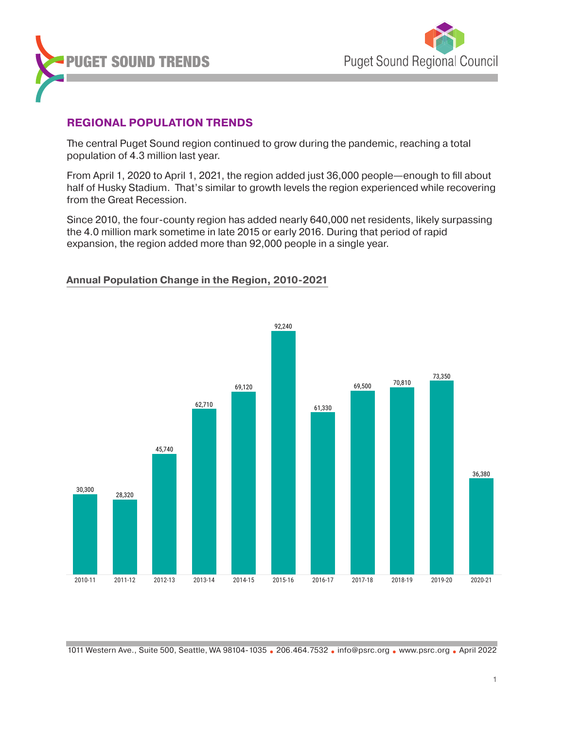



## **REGIONAL POPULATION TRENDS**

The central Puget Sound region continued to grow during the pandemic, reaching a total population of 4.3 million last year.

From April 1, 2020 to April 1, 2021, the region added just 36,000 people—enough to fill about half of Husky Stadium. That's similar to growth levels the region experienced while recovering from the Great Recession.

Since 2010, the four-county region has added nearly 640,000 net residents, likely surpassing the 4.0 million mark sometime in late 2015 or early 2016. During that period of rapid expansion, the region added more than 92,000 people in a single year.

### **Annual Population Change in the Region, 2010-2021**

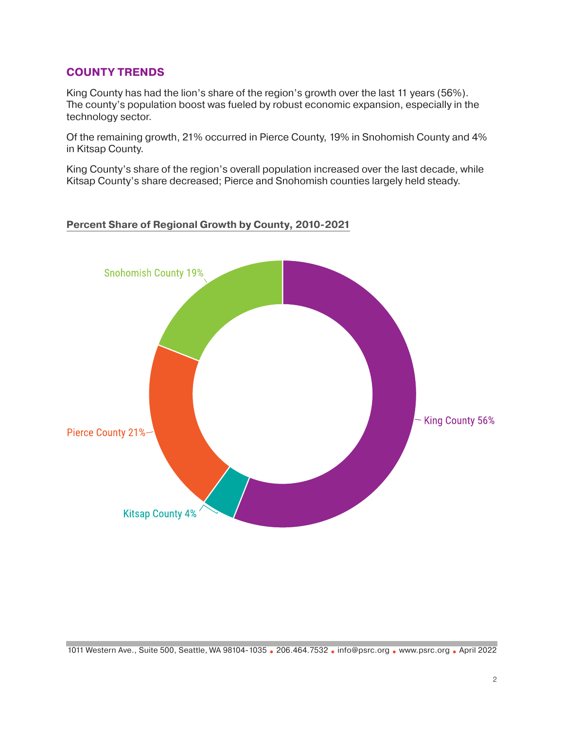## **COUNTY TRENDS**

King County has had the lion's share of the region's growth over the last 11 years (56%). The county's population boost was fueled by robust economic expansion, especially in the technology sector.

Of the remaining growth, 21% occurred in Pierce County, 19% in Snohomish County and 4% in Kitsap County.

King County's share of the region's overall population increased over the last decade, while Kitsap County's share decreased; Pierce and Snohomish counties largely held steady.

### **Percent Share of Regional Growth by County, 2010-2021**

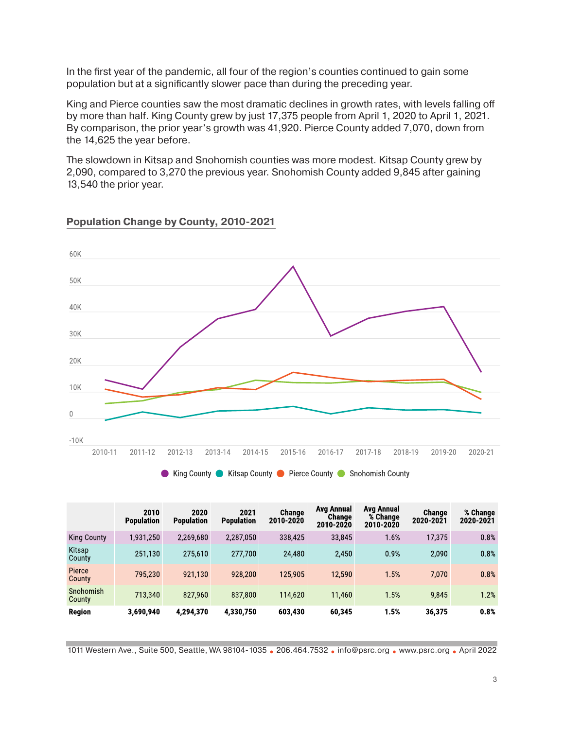In the first year of the pandemic, all four of the region's counties continued to gain some population but at a significantly slower pace than during the preceding year.

King and Pierce counties saw the most dramatic declines in growth rates, with levels falling off by more than half. King County grew by just 17,375 people from April 1, 2020 to April 1, 2021. By comparison, the prior year's growth was 41,920. Pierce County added 7,070, down from the 14,625 the year before.

The slowdown in Kitsap and Snohomish counties was more modest. Kitsap County grew by 2,090, compared to 3,270 the previous year. Snohomish County added 9,845 after gaining 13,540 the prior year.



### **Population Change by County, 2010-2021**

|                     | 2010<br><b>Population</b> | 2020<br><b>Population</b> | 2021<br><b>Population</b> | Change<br>2010-2020 | Avg Annual<br>Change<br>2010-2020 | Avg Annual<br>% Change<br>2010-2020 | Change<br>2020-2021 | % Change<br>2020-2021 |
|---------------------|---------------------------|---------------------------|---------------------------|---------------------|-----------------------------------|-------------------------------------|---------------------|-----------------------|
| <b>King County</b>  | 1,931,250                 | 2,269,680                 | 2,287,050                 | 338,425             | 33.845                            | 1.6%                                | 17,375              | 0.8%                  |
| Kitsap<br>County    | 251.130                   | 275,610                   | 277,700                   | 24,480              | 2.450                             | 0.9%                                | 2,090               | 0.8%                  |
| Pierce<br>County    | 795.230                   | 921.130                   | 928,200                   | 125,905             | 12.590                            | 1.5%                                | 7.070               | 0.8%                  |
| Snohomish<br>County | 713.340                   | 827,960                   | 837,800                   | 114,620             | 11460                             | 1.5%                                | 9.845               | 1.2%                  |
| Region              | 3,690,940                 | 4.294,370                 | 4,330,750                 | 603,430             | 60.345                            | 1.5%                                | 36,375              | 0.8%                  |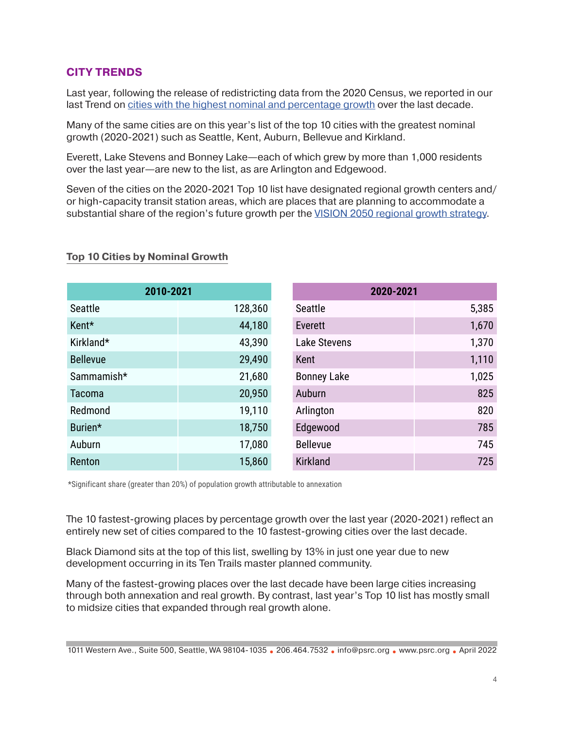## **CITY TRENDS**

Last year, following the release of redistricting data from the 2020 Census, we reported in our last Trend on [cities with the highest nominal and percentage growth](https://www.psrc.org/sites/default/files/trend-population-202111.pdf) over the last decade.

Many of the same cities are on this year's list of the top 10 cities with the greatest nominal growth (2020-2021) such as Seattle, Kent, Auburn, Bellevue and Kirkland.

Everett, Lake Stevens and Bonney Lake—each of which grew by more than 1,000 residents over the last year—are new to the list, as are Arlington and Edgewood.

Seven of the cities on the 2020-2021 Top 10 list have designated regional growth centers and/ or high-capacity transit station areas, which are places that are planning to accommodate a substantial share of the region's future growth per the [VISION 2050 regional growth strategy](https://www.psrc.org/vision).

#### Seattle 5.385 Everett 1.670 Lake Stevens 1,370 **Kent 1,110** Bonney Lake 1,025 Auburn 825 Arlington 820 Edgewood 785 Bellevue 745 Kirkland 725 **2020-2021** Seattle 128,360 Kent\* 44,180 Kirkland\* 43,390 Bellevue 29,490 Sammamish\* 21,680 Tacoma 20,950 Redmond 19,110 Burien\* 18,750 Auburn 17,080 Renton 15,860 **2010-2021**

# **Top 10 Cities by Nominal Growth Top 10 Cities by Nominal Growth**

\*Significant share (greater than 20%) of population growth attributable to annexation

The 10 fastest-growing places by percentage growth over the last year (2020-2021) reflect an entirely new set of cities compared to the 10 fastest-growing cities over the last decade.

Black Diamond sits at the top of this list, swelling by 13% in just one year due to new development occurring in its Ten Trails master planned community.

Many of the fastest-growing places over the last decade have been large cities increasing through both annexation and real growth. By contrast, last year's Top 10 list has mostly small to midsize cities that expanded through real growth alone.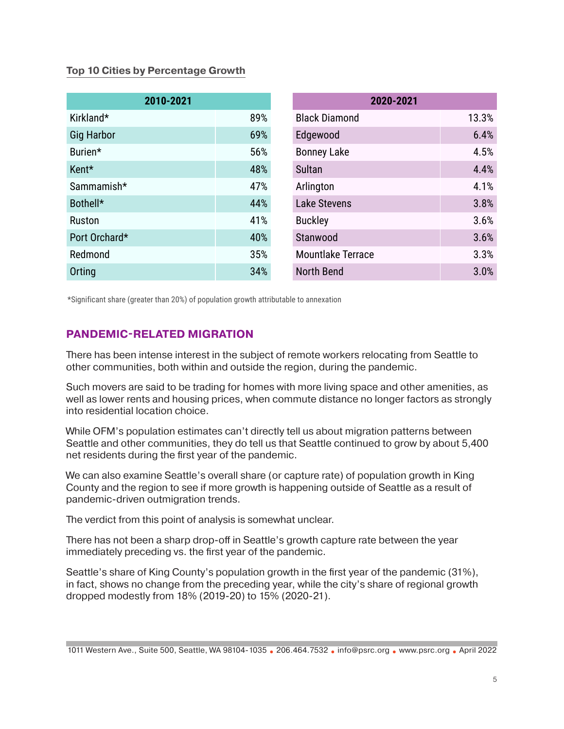## **Top 10 Cities by Percentage Growth Top 10 Cities by Percentage Growth Top 10 Cities by Percentage Growth**

| 2010-2021         |     | 2020-2021                |       |
|-------------------|-----|--------------------------|-------|
| Kirkland*         | 89% | <b>Black Diamond</b>     | 13.3% |
| <b>Gig Harbor</b> | 69% | Edgewood                 | 6.4%  |
| Burien*           | 56% | <b>Bonney Lake</b>       | 4.5%  |
| Kent*             | 48% | <b>Sultan</b>            | 4.4%  |
| Sammamish*        | 47% | Arlington                | 4.1%  |
| Bothell*          | 44% | <b>Lake Stevens</b>      | 3.8%  |
| <b>Ruston</b>     | 41% | <b>Buckley</b>           | 3.6%  |
| Port Orchard*     | 40% | Stanwood                 | 3.6%  |
| Redmond           | 35% | <b>Mountlake Terrace</b> | 3.3%  |
| Orting            | 34% | <b>North Bend</b>        | 3.0%  |

\*Significant share (greater than 20%) of population growth attributable to annexation \*Significant share (greater than 20%) of population growth attributable to annexation

## **PANDEMIC-RELATED MIGRATION**

There has been intense interest in the subject of remote workers relocating from Seattle to other communities, both within and outside the region, during the pandemic.

Such movers are said to be trading for homes with more living space and other amenities, as well as lower rents and housing prices, when commute distance no longer factors as strongly into residential location choice.

While OFM's population estimates can't directly tell us about migration patterns between Seattle and other communities, they do tell us that Seattle continued to grow by about 5,400 net residents during the first year of the pandemic.

We can also examine Seattle's overall share (or capture rate) of population growth in King County and the region to see if more growth is happening outside of Seattle as a result of pandemic-driven outmigration trends.

The verdict from this point of analysis is somewhat unclear.

There has not been a sharp drop-off in Seattle's growth capture rate between the year immediately preceding vs. the first year of the pandemic.

Seattle's share of King County's population growth in the first year of the pandemic (31%), in fact, shows no change from the preceding year, while the city's share of regional growth dropped modestly from 18% (2019-20) to 15% (2020-21).

<sup>1011</sup> Western Ave., Suite 500, Seattle, WA 98104-1035 **•** 206.464.7532 **•** info@psrc.org **•** [www.psrc.org](https://www.psrc.org/) **•** April 2022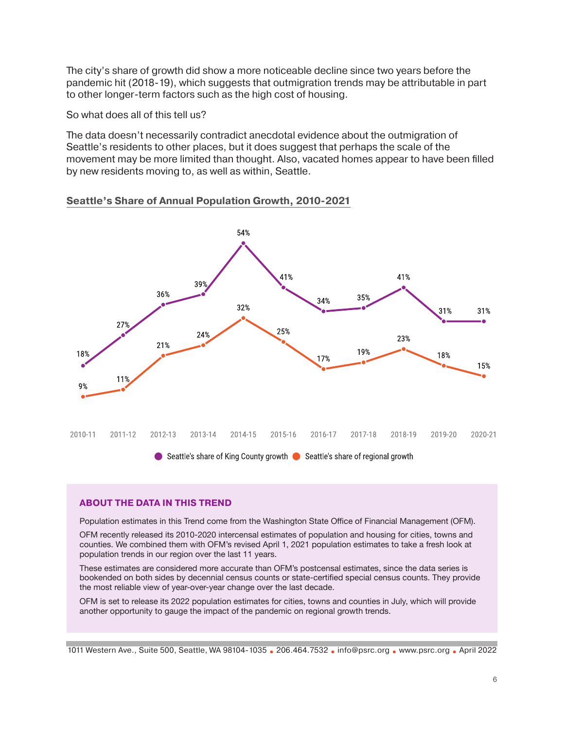The city's share of growth did show a more noticeable decline since two years before the pandemic hit (2018-19), which suggests that outmigration trends may be attributable in part to other longer-term factors such as the high cost of housing.

So what does all of this tell us?

The data doesn't necessarily contradict anecdotal evidence about the outmigration of Seattle's residents to other places, but it does suggest that perhaps the scale of the movement may be more limited than thought. Also, vacated homes appear to have been filled by new residents moving to, as well as within, Seattle.

### **Seattle's Share of Annual Population Growth, 2010-2021**



### **ABOUT THE DATA IN THIS TREND**

Population estimates in this Trend come from the Washington State Office of Financial Management (OFM).

OFM recently released its 2010-2020 intercensal estimates of population and housing for cities, towns and counties. We combined them with OFM's revised April 1, 2021 population estimates to take a fresh look at population trends in our region over the last 11 years.

These estimates are considered more accurate than OFM's postcensal estimates, since the data series is bookended on both sides by decennial census counts or state-certified special census counts. They provide the most reliable view of year-over-year change over the last decade.

OFM is set to release its 2022 population estimates for cities, towns and counties in July, which will provide another opportunity to gauge the impact of the pandemic on regional growth trends.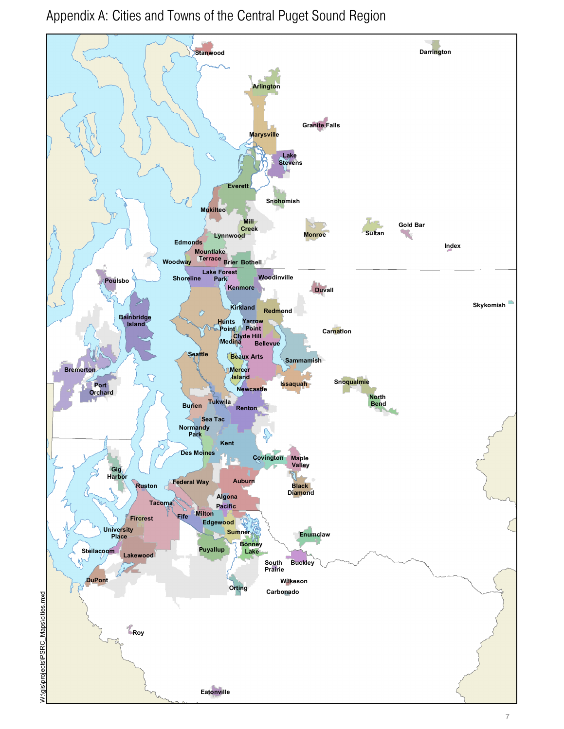Appendix A: Cities and Towns of the Central Puget Sound Region

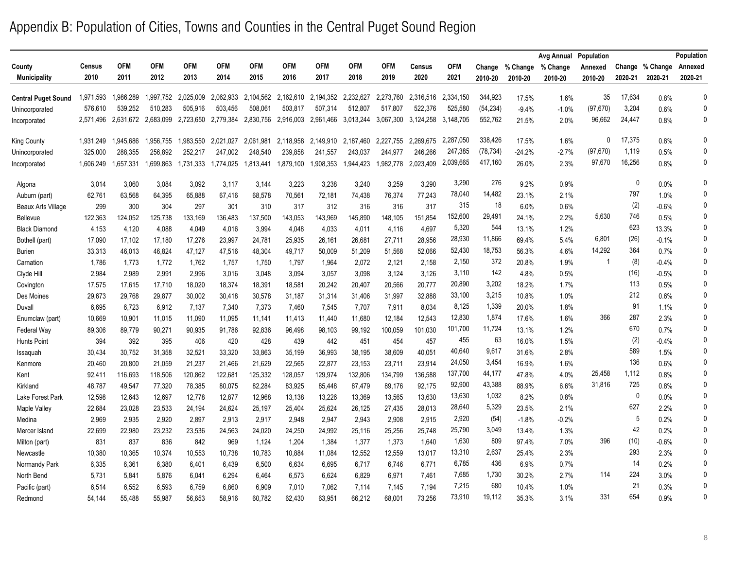## Appendix B: Population of Cities, Towns and Counties in the Central Puget Sound Region

|                            |           |            |            |                     |            |            |            |            |            |            |           |            |           |          | Avg Annual | Population |              |                 | Population   |
|----------------------------|-----------|------------|------------|---------------------|------------|------------|------------|------------|------------|------------|-----------|------------|-----------|----------|------------|------------|--------------|-----------------|--------------|
| County                     | Census    | <b>OFM</b> | <b>OFM</b> | <b>OFM</b>          | <b>OFM</b> | <b>OFM</b> | <b>OFM</b> | <b>OFM</b> | <b>OFM</b> | <b>OFM</b> | Census    | <b>OFM</b> | Change    | % Change | % Change   | Annexed    |              | Change % Change | Annexed      |
| <b>Municipality</b>        | 2010      | 2011       | 2012       | 2013                | 2014       | 2015       | 2016       | 2017       | 2018       | 2019       | 2020      | 2021       | 2010-20   | 2010-20  | 2010-20    | 2010-20    | 2020-21      | 2020-21         | 2020-21      |
| <b>Central Puget Sound</b> | 1,971,593 | 1,986,289  |            | 1,997,752 2,025,009 | 2,062,933  | 2,104,562  | 2,162,610  | 2,194,352  | 2,232,627  | 2,273,760  | 2,316,516 | 2.334.150  | 344,923   | 17.5%    | 1.6%       | 35         | 17,634       | 0.8%            | $\Omega$     |
| Unincorporated             | 576,610   | 539,252    | 510,283    | 505,916             | 503,456    | 508,061    | 503,817    | 507,314    | 512,807    | 517,807    | 522,376   | 525,580    | (54, 234) | $-9.4%$  | $-1.0%$    | (97, 670)  | 3,204        | 0.6%            | $\mathbf{0}$ |
| Incorporated               | 2,571,496 | 2,631,672  | 2,683,099  | 2,723,650           | 2,779,384  | 2,830,756  | 2,916,003  | 2,961,466  | 3,013,244  | 3,067,300  | 3,124,258 | 3,148,705  | 552,762   | 21.5%    | 2.0%       | 96,662     | 24,447       | 0.8%            | $\mathbf{0}$ |
| <b>King County</b>         | 1,931,249 | 1,945,686  | 1,956,755  | 1,983,550           | 2,021,027  | 2,061,981  | 2,118,958  | 2,149,910  | 2,187,460  | 2,227,755  | 2,269,675 | 2,287,050  | 338,426   | 17.5%    | 1.6%       | $\Omega$   | 17,375       | 0.8%            | $\Omega$     |
| Unincorporated             | 325,000   | 288,355    | 256,892    | 252,217             | 247,002    | 248,540    | 239,858    | 241,557    | 243,037    | 244,977    | 246,266   | 247,385    | (78, 734) | $-24.2%$ | $-2.7%$    | (97, 670)  | 1,119        | 0.5%            | $\Omega$     |
| Incorporated               | 1,606,249 | 1,657,331  | 1,699,863  | 1,731,333           | 1,774,025  | 1,813,441  | 1,879,100  | 1,908,353  | 1.944.423  | .982,778   | 2,023,409 | 2,039,665  | 417,160   | 26.0%    | 2.3%       | 97,670     | 16,256       | 0.8%            | $\mathbf{0}$ |
| Algona                     | 3,014     | 3,060      | 3,084      | 3,092               | 3,117      | 3,144      | 3,223      | 3,238      | 3,240      | 3,259      | 3,290     | 3,290      | 276       | 9.2%     | 0.9%       |            | $\mathbf{0}$ | 0.0%            | $\Omega$     |
| Auburn (part)              | 62,761    | 63,568     | 64,395     | 65,888              | 67,416     | 68,578     | 70,561     | 72,181     | 74,438     | 76,374     | 77,243    | 78,040     | 14,482    | 23.1%    | 2.1%       |            | 797          | 1.0%            | $\Omega$     |
| <b>Beaux Arts Village</b>  | 299       | 300        | 304        | 297                 | 301        | 310        | 317        | 312        | 316        | 316        | 317       | 315        | 18        | 6.0%     | 0.6%       |            | (2)          | $-0.6%$         | $\Omega$     |
| Bellevue                   | 122,363   | 124,052    | 125,738    | 133,169             | 136,483    | 137,500    | 143,053    | 143,969    | 145,890    | 148,105    | 151,854   | 152,600    | 29,491    | 24.1%    | 2.2%       | 5,630      | 746          | 0.5%            | $\Omega$     |
| <b>Black Diamond</b>       | 4,153     | 4,120      | 4,088      | 4,049               | 4,016      | 3,994      | 4,048      | 4,033      | 4,011      | 4,116      | 4,697     | 5,320      | 544       | 13.1%    | 1.2%       |            | 623          | 13.3%           | $\Omega$     |
| Bothell (part)             | 17,090    | 17,102     | 17,180     | 17,276              | 23,997     | 24,781     | 25,935     | 26,161     | 26,681     | 27,711     | 28,956    | 28,930     | 11,866    | 69.4%    | 5.4%       | 6,801      | (26)         | $-0.1%$         | $\Omega$     |
| <b>Burien</b>              | 33,313    | 46,013     | 46,824     | 47,127              | 47,516     | 48,304     | 49,717     | 50,009     | 51,209     | 51,568     | 52,066    | 52,430     | 18,753    | 56.3%    | 4.6%       | 14,292     | 364          | 0.7%            | $\Omega$     |
| Carnation                  | 1,786     | 1,773      | 1,772      | 1,762               | 1,757      | 1,750      | 1,797      | 1,964      | 2,072      | 2,121      | 2,158     | 2,150      | 372       | 20.8%    | 1.9%       |            | (8)          | $-0.4%$         | 0            |
| Clyde Hill                 | 2,984     | 2,989      | 2,991      | 2,996               | 3,016      | 3.048      | 3,094      | 3,057      | 3,098      | 3,124      | 3.126     | 3,110      | 142       | 4.8%     | 0.5%       |            | (16)         | $-0.5%$         | 0            |
| Covington                  | 17,575    | 17.615     | 17,710     | 18,020              | 18,374     | 18,391     | 18,581     | 20,242     | 20,407     | 20,566     | 20,777    | 20,890     | 3,202     | 18.2%    | 1.7%       |            | 113          | 0.5%            | $\mathbf{0}$ |
| Des Moines                 | 29,673    | 29,768     | 29,877     | 30,002              | 30,418     | 30,578     | 31,187     | 31,314     | 31,406     | 31,997     | 32,888    | 33,100     | 3,215     | 10.8%    | 1.0%       |            | 212          | 0.6%            | $\Omega$     |
| Duvall                     | 6,695     | 6,723      | 6,912      | 7,137               | 7,340      | 7,373      | 7,460      | 7,545      | 7,707      | 7,911      | 8,034     | 8,125      | 1,339     | 20.0%    | 1.8%       |            | 91           | 1.1%            | $\Omega$     |
| Enumclaw (part)            | 10,669    | 10,901     | 11,015     | 11,090              | 11,095     | 11,141     | 11,413     | 11,440     | 11,680     | 12,184     | 12,543    | 12,830     | 1,874     | 17.6%    | 1.6%       | 366        | 287          | 2.3%            | $\Omega$     |
| Federal Way                | 89,306    | 89,779     | 90,271     | 90,935              | 91,786     | 92,836     | 96,498     | 98,103     | 99,192     | 100,059    | 101,030   | 101,700    | 11,724    | 13.1%    | 1.2%       |            | 670          | 0.7%            | $\Omega$     |
| Hunts Point                | 394       | 392        | 395        | 406                 | 420        | 428        | 439        | 442        | 451        | 454        | 457       | 455        | 63        | 16.0%    | 1.5%       |            | (2)          | $-0.4%$         | $\mathbf{0}$ |
| Issaquah                   | 30,434    | 30,752     | 31,358     | 32,521              | 33,320     | 33,863     | 35,199     | 36,993     | 38,195     | 38,609     | 40,051    | 40,640     | 9,617     | 31.6%    | 2.8%       |            | 589          | 1.5%            | $\mathbf{0}$ |
| Kenmore                    | 20.460    | 20.800     | 21,059     | 21.237              | 21,466     | 21.629     | 22.565     | 22,877     | 23,153     | 23.711     | 23,914    | 24,050     | 3,454     | 16.9%    | 1.6%       |            | 136          | 0.6%            | $\mathbf{0}$ |
| Kent                       | 92,411    | 116,693    | 118,506    | 120,862             | 122,681    | 125,332    | 128,057    | 129,974    | 132,806    | 134,799    | 136,588   | 137,700    | 44,177    | 47.8%    | 4.0%       | 25,458     | 1,112        | 0.8%            | $\Omega$     |
| Kirkland                   | 48,787    | 49,547     | 77,320     | 78,385              | 80,075     | 82,284     | 83,925     | 85,448     | 87,479     | 89,176     | 92,175    | 92,900     | 43,388    | 88.9%    | 6.6%       | 31,816     | 725          | 0.8%            | $\Omega$     |
| Lake Forest Park           | 12,598    | 12,643     | 12,697     | 12,778              | 12,877     | 12,968     | 13,138     | 13,226     | 13,369     | 13,565     | 13.630    | 13,630     | 1,032     | 8.2%     | 0.8%       |            | $\mathbf 0$  | 0.0%            | $\mathbf{0}$ |
| Maple Valley               | 22,684    | 23,028     | 23,533     | 24,194              | 24,624     | 25,197     | 25,404     | 25,624     | 26,125     | 27,435     | 28,013    | 28,640     | 5,329     | 23.5%    | 2.1%       |            | 627          | 2.2%            | 0            |
| Medina                     | 2,969     | 2,935      | 2,920      | 2,897               | 2,913      | 2,917      | 2,948      | 2,947      | 2,943      | 2,908      | 2,915     | 2,920      | (54)      | $-1.8%$  | $-0.2%$    |            | 5            | 0.2%            | $\mathbf{0}$ |
| Mercer Island              | 22,699    | 22,980     | 23,232     | 23,536              | 24,563     | 24,020     | 24,250     | 24,992     | 25,116     | 25,256     | 25,748    | 25,790     | 3,049     | 13.4%    | 1.3%       |            | 42           | 0.2%            | $\Omega$     |
| Milton (part)              | 831       | 837        | 836        | 842                 | 969        | 1,124      | 1,204      | 1,384      | 1,377      | 1,373      | 1,640     | 1,630      | 809       | 97.4%    | 7.0%       | 396        | (10)         | $-0.6%$         | $\Omega$     |
| Newcastle                  | 10,380    | 10,365     | 10,374     | 10,553              | 10,738     | 10,783     | 10,884     | 11,084     | 12,552     | 12,559     | 13,017    | 13,310     | 2,637     | 25.4%    | 2.3%       |            | 293          | 2.3%            | $\Omega$     |
| Normandy Park              | 6,335     | 6,361      | 6,380      | 6,401               | 6,439      | 6,500      | 6,634      | 6,695      | 6,717      | 6,746      | 6,771     | 6,785      | 436       | 6.9%     | 0.7%       |            | 14           | 0.2%            | $\Omega$     |
| North Bend                 | 5,731     | 5,841      | 5,876      | 6,041               | 6,294      | 6,464      | 6,573      | 6,624      | 6,829      | 6,971      | 7,461     | 7,685      | 1,730     | 30.2%    | 2.7%       | 114        | 224          | 3.0%            | $\Omega$     |
| Pacific (part)             | 6,514     | 6,552      | 6,593      | 6,759               | 6,860      | 6,909      | 7,010      | 7,062      | 7,114      | 7,145      | 7.194     | 7,215      | 680       | 10.4%    | 1.0%       |            | 21           | 0.3%            | $\Omega$     |
| Redmond                    | 54,144    | 55.488     | 55,987     | 56,653              | 58,916     | 60.782     | 62,430     | 63,951     | 66,212     | 68,001     | 73,256    | 73,910     | 19,112    | 35.3%    | 3.1%       | 331        | 654          | 0.9%            | $\Omega$     |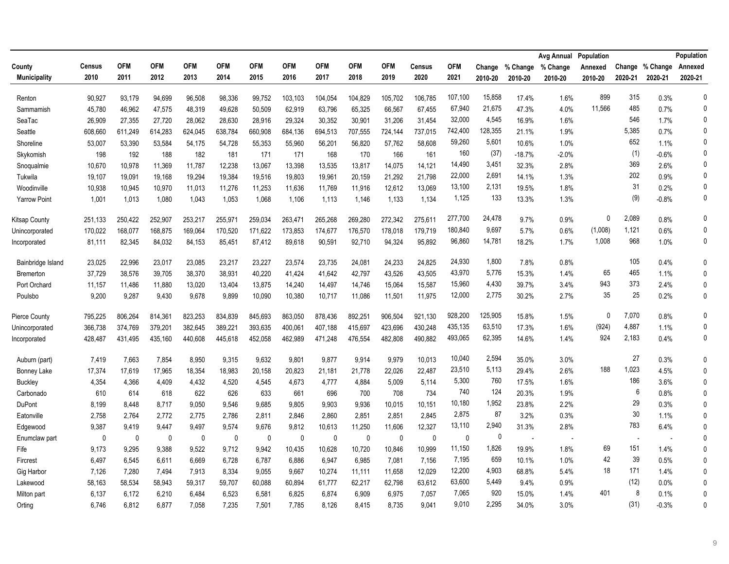|                     |             |            |             |            |            |             |            |              |              |             |               |             |         |                          | Avg Annual | Population |                          |                 | Population   |
|---------------------|-------------|------------|-------------|------------|------------|-------------|------------|--------------|--------------|-------------|---------------|-------------|---------|--------------------------|------------|------------|--------------------------|-----------------|--------------|
| County              | Census      | <b>OFM</b> | <b>OFM</b>  | <b>OFM</b> | <b>OFM</b> | <b>OFM</b>  | <b>OFM</b> | <b>OFM</b>   | <b>OFM</b>   | <b>OFM</b>  | <b>Census</b> | <b>OFM</b>  | Change  | % Change                 | % Change   | Annexed    |                          | Change % Change | Annexed      |
| <b>Municipality</b> | 2010        | 2011       | 2012        | 2013       | 2014       | 2015        | 2016       | 2017         | 2018         | 2019        | 2020          | 2021        | 2010-20 | 2010-20                  | 2010-20    | 2010-20    | 2020-21                  | 2020-21         | 2020-21      |
| Renton              | 90.927      | 93,179     | 94,699      | 96.508     | 98.336     | 99.752      | 103,103    | 104,054      | 104,829      | 105.702     | 106.785       | 107,100     | 15,858  | 17.4%                    | 1.6%       | 899        | 315                      | 0.3%            | $\mathbf 0$  |
| Sammamish           | 45,780      | 46,962     | 47,575      | 48,319     | 49,628     | 50,509      | 62,919     | 63,796       | 65,325       | 66,567      | 67,455        | 67,940      | 21,675  | 47.3%                    | 4.0%       | 11.566     | 485                      | 0.7%            | $\mathbf{0}$ |
| SeaTac              | 26,909      | 27,355     | 27,720      | 28,062     | 28,630     | 28,916      | 29,324     | 30,352       | 30,901       | 31,206      | 31,454        | 32,000      | 4,545   | 16.9%                    | 1.6%       |            | 546                      | 1.7%            | $\mathbf{0}$ |
| Seattle             | 608,660     | 611,249    | 614,283     | 624,045    | 638,784    | 660,908     | 684,136    | 694,513      | 707,555      | 724,144     | 737,015       | 742,400     | 128,355 | 21.1%                    | 1.9%       |            | 5,385                    | 0.7%            | $\Omega$     |
| Shoreline           | 53,007      | 53,390     | 53,584      | 54,175     | 54,728     | 55,353      | 55,960     | 56,201       | 56,820       | 57,762      | 58,608        | 59,260      | 5,601   | 10.6%                    | 1.0%       |            | 652                      | 1.1%            | $\mathbf{0}$ |
| Skykomish           | 198         | 192        | 188         | 182        | 181        | 171         | 171        | 168          | 170          | 166         | 161           | 160         | (37)    | $-18.7%$                 | $-2.0%$    |            | (1)                      | $-0.6%$         | 0            |
| Snoqualmie          | 10,670      | 10,978     | 11,369      | 11,787     | 12,238     | 13,067      | 13,398     | 13,535       | 13,817       | 14,075      | 14,121        | 14,490      | 3,451   | 32.3%                    | 2.8%       |            | 369                      | 2.6%            | $\mathbf{0}$ |
| Tukwila             | 19,107      | 19,091     | 19,168      | 19,294     | 19,384     | 19,516      | 19,803     | 19,961       | 20,159       | 21,292      | 21,798        | 22,000      | 2,691   | 14.1%                    | 1.3%       |            | 202                      | 0.9%            | 0            |
| Woodinville         | 10,938      | 10,945     | 10,970      | 11,013     | 11,276     | 11,253      | 11,636     | 11,769       | 11,916       | 12,612      | 13,069        | 13,100      | 2,131   | 19.5%                    | 1.8%       |            | 31                       | 0.2%            | 0            |
| <b>Yarrow Point</b> | 1,001       | 1,013      | 1,080       | 1,043      | 1,053      | 1,068       | 1,106      | 1,113        | 1,146        | 1,133       | 1,134         | 1,125       | 133     | 13.3%                    | 1.3%       |            | (9)                      | $-0.8%$         | 0            |
| Kitsap County       | 251,133     | 250,422    | 252,907     | 253,217    | 255.971    | 259,034     | 263,471    | 265,268      | 269,280      | 272,342     | 275.611       | 277,700     | 24,478  | 9.7%                     | 0.9%       | $\Omega$   | 2,089                    | 0.8%            | $\mathbf{0}$ |
| Unincorporated      | 170,022     | 168,077    | 168,875     | 169,064    | 170,520    | 171,622     | 173,853    | 174,677      | 176,570      | 178,018     | 179,719       | 180,840     | 9,697   | 5.7%                     | 0.6%       | (1,008)    | 1,121                    | 0.6%            | $\Omega$     |
| Incorporated        | 81,111      | 82,345     | 84,032      | 84,153     | 85,451     | 87,412      | 89,618     | 90,591       | 92,710       | 94,324      | 95,892        | 96,860      | 14,781  | 18.2%                    | 1.7%       | 1,008      | 968                      | 1.0%            | 0            |
| Bainbridge Island   | 23,025      | 22,996     | 23,017      | 23,085     | 23,217     | 23,227      | 23,574     | 23,735       | 24,081       | 24,233      | 24,825        | 24,930      | 1,800   | 7.8%                     | 0.8%       |            | 105                      | 0.4%            | $\mathbf 0$  |
| Bremerton           | 37,729      | 38,576     | 39,705      | 38,370     | 38,931     | 40,220      | 41,424     | 41,642       | 42,797       | 43,526      | 43,505        | 43,970      | 5,776   | 15.3%                    | 1.4%       | 65         | 465                      | 1.1%            | $\mathbf{0}$ |
| Port Orchard        | 11,157      | 11,486     | 11,880      | 13,020     | 13,404     | 13,875      | 14,240     | 14,497       | 14,746       | 15,064      | 15,587        | 15,960      | 4,430   | 39.7%                    | 3.4%       | 943        | 373                      | 2.4%            | $\mathbf{0}$ |
| Poulsbo             | 9,200       | 9,287      | 9,430       | 9,678      | 9,899      | 10,090      | 10,380     | 10,717       | 11,086       | 11,501      | 11,975        | 12,000      | 2,775   | 30.2%                    | 2.7%       | 35         | 25                       | 0.2%            | $\mathbf{0}$ |
| Pierce County       | 795,225     | 806,264    | 814,361     | 823,253    | 834,839    | 845,693     | 863,050    | 878,436      | 892,251      | 906,504     | 921,130       | 928,200     | 125,905 | 15.8%                    | 1.5%       | $\Omega$   | 7,070                    | 0.8%            | $\mathbf{0}$ |
| Unincorporated      | 366,738     | 374,769    | 379,201     | 382,645    | 389,221    | 393,635     | 400,061    | 407,188      | 415,697      | 423,696     | 430,248       | 435,135     | 63,510  | 17.3%                    | 1.6%       | (924)      | 4,887                    | 1.1%            | $\mathbf{0}$ |
| Incorporated        | 428,487     | 431,495    | 435,160     | 440,608    | 445,618    | 452,058     | 462,989    | 471,248      | 476,554      | 482,808     | 490,882       | 493,065     | 62,395  | 14.6%                    | 1.4%       | 924        | 2,183                    | 0.4%            | 0            |
| Auburn (part)       | 7,419       | 7,663      | 7,854       | 8.950      | 9,315      | 9.632       | 9,801      | 9,877        | 9,914        | 9,979       | 10,013        | 10,040      | 2,594   | 35.0%                    | 3.0%       |            | 27                       | 0.3%            | $\mathbf{0}$ |
| <b>Bonney Lake</b>  | 17,374      | 17,619     | 17,965      | 18,354     | 18,983     | 20,158      | 20,823     | 21,181       | 21,778       | 22,026      | 22,487        | 23,510      | 5,113   | 29.4%                    | 2.6%       | 188        | 1,023                    | 4.5%            | $\mathbf{0}$ |
| <b>Buckley</b>      | 4,354       | 4,366      | 4,409       | 4,432      | 4,520      | 4,545       | 4,673      | 4,777        | 4,884        | 5,009       | 5,114         | 5,300       | 760     | 17.5%                    | 1.6%       |            | 186                      | 3.6%            | $\mathbf{0}$ |
| Carbonado           | 610         | 614        | 618         | 622        | 626        | 633         | 661        | 696          | 700          | 708         | 734           | 740         | 124     | 20.3%                    | 1.9%       |            | 6                        | 0.8%            | $\mathbf 0$  |
| DuPont              | 8,199       | 8,448      | 8,717       | 9,050      | 9,546      | 9,685       | 9,805      | 9,903        | 9,936        | 10,015      | 10,151        | 10,180      | 1,952   | 23.8%                    | 2.2%       |            | 29                       | 0.3%            | $\mathbf{0}$ |
| Eatonville          | 2,758       | 2,764      | 2,772       | 2,775      | 2,786      | 2,811       | 2,846      | 2,860        | 2,851        | 2,851       | 2,845         | 2,875       | 87      | 3.2%                     | 0.3%       |            | 30                       | 1.1%            | $\mathbf{0}$ |
| Edgewood            | 9,387       | 9,419      | 9,447       | 9,497      | 9,574      | 9,676       | 9,812      | 10,613       | 11,250       | 11,606      | 12,327        | 13,110      | 2,940   | 31.3%                    | 2.8%       |            | 783                      | 6.4%            | $\mathbf{0}$ |
| Enumclaw part       | $\mathbf 0$ | $\pmb{0}$  | $\mathbf 0$ | $\pmb{0}$  | 0          | $\mathbf 0$ | $\pmb{0}$  | $\mathbf{0}$ | $\mathbf{0}$ | $\mathbf 0$ | $\mathbf 0$   | $\mathbf 0$ | 0       | $\overline{\phantom{a}}$ |            |            | $\overline{\phantom{a}}$ |                 | $\mathbf{0}$ |
| Fife                | 9,173       | 9,295      | 9,388       | 9,522      | 9,712      | 9,942       | 10,435     | 10,628       | 10,720       | 10,846      | 10,999        | 11,150      | 1,826   | 19.9%                    | 1.8%       | 69         | 151                      | 1.4%            | $\mathbf{0}$ |
| Fircrest            | 6,497       | 6,545      | 6,611       | 6,669      | 6,728      | 6,787       | 6,886      | 6,947        | 6,985        | 7,081       | 7,156         | 7,195       | 659     | 10.1%                    | 1.0%       | 42         | 39                       | 0.5%            | $\mathbf{0}$ |
| Gig Harbor          | 7,126       | 7,280      | 7,494       | 7,913      | 8,334      | 9,055       | 9,667      | 10,274       | 11,111       | 11,658      | 12,029        | 12,200      | 4,903   | 68.8%                    | 5.4%       | 18         | 171                      | 1.4%            | $\mathbf{0}$ |
| Lakewood            | 58,163      | 58,534     | 58,943      | 59,317     | 59,707     | 60,088      | 60,894     | 61,777       | 62,217       | 62,798      | 63,612        | 63,600      | 5,449   | 9.4%                     | 0.9%       |            | (12)                     | 0.0%            | $\mathbf 0$  |
| Milton part         | 6,137       | 6,172      | 6,210       | 6,484      | 6,523      | 6,581       | 6,825      | 6,874        | 6,909        | 6,975       | 7,057         | 7,065       | 920     | 15.0%                    | 1.4%       | 401        | 8                        | 0.1%            | $\mathbf{0}$ |
| Orting              | 6,746       | 6,812      | 6,877       | 7.058      | 7,235      | 7,501       | 7,785      | 8.126        | 8,415        | 8.735       | 9.041         | 9,010       | 2,295   | 34.0%                    | 3.0%       |            | (31)                     | $-0.3%$         | $\mathbf{0}$ |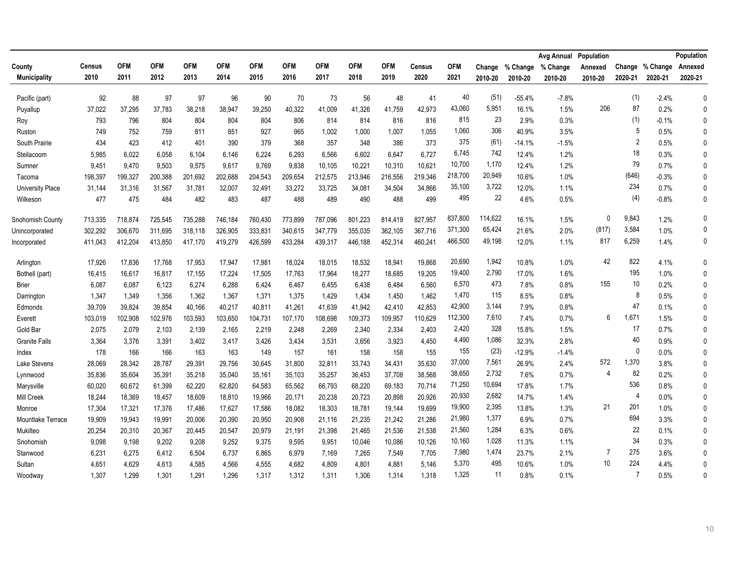|                         |               |            |            |            |            |            |            |            |            |            |               |            |         |          | Avg Annual | Population |         |                 | Population   |
|-------------------------|---------------|------------|------------|------------|------------|------------|------------|------------|------------|------------|---------------|------------|---------|----------|------------|------------|---------|-----------------|--------------|
| County                  | <b>Census</b> | <b>OFM</b> | <b>OFM</b> | <b>OFM</b> | <b>OFM</b> | <b>OFM</b> | <b>OFM</b> | <b>OFM</b> | <b>OFM</b> | <b>OFM</b> | <b>Census</b> | <b>OFM</b> | Change  | % Change | % Change   | Annexed    |         | Change % Change | Annexed      |
| <b>Municipality</b>     | 2010          | 2011       | 2012       | 2013       | 2014       | 2015       | 2016       | 2017       | 2018       | 2019       | 2020          | 2021       | 2010-20 | 2010-20  | 2010-20    | 2010-20    | 2020-21 | 2020-21         | 2020-21      |
| Pacific (part)          | 92            | 88         | 97         | 97         | 96         | 90         | 70         | 73         | 56         | 48         | 41            | 40         | (51)    | $-55.4%$ | $-7.8%$    |            | (1)     | $-2.4%$         | $\mathbf 0$  |
| Puyallup                | 37,022        | 37,295     | 37,783     | 38,218     | 38,947     | 39,250     | 40,322     | 41,009     | 41,326     | 41,759     | 42,973        | 43,060     | 5,951   | 16.1%    | 1.5%       | 206        | 87      | 0.2%            | 0            |
| Roy                     | 793           | 796        | 804        | 804        | 804        | 804        | 806        | 814        | 814        | 816        | 816           | 815        | 23      | 2.9%     | 0.3%       |            | (1)     | $-0.1%$         | $\mathbf{0}$ |
| Ruston                  | 749           | 752        | 759        | 811        | 851        | 927        | 965        | 1,002      | 1,000      | 1,007      | 1,055         | 1,060      | 306     | 40.9%    | 3.5%       |            | 5       | 0.5%            | 0            |
| South Prairie           | 434           | 423        | 412        | 401        | 390        | 379        | 368        | 357        | 348        | 386        | 373           | 375        | (61)    | $-14.1%$ | $-1.5%$    |            | 2       | 0.5%            | $\mathbf{0}$ |
| Steilacoom              | 5,985         | 6,022      | 6,058      | 6,104      | 6,146      | 6,224      | 6,293      | 6,566      | 6,602      | 6,647      | 6,727         | 6,745      | 742     | 12.4%    | 1.2%       |            | 18      | 0.3%            | 0            |
| Sumner                  | 9,451         | 9,470      | 9,503      | 9.575      | 9,617      | 9,769      | 9,838      | 10,105     | 10,221     | 10,310     | 10,621        | 10,700     | 1,170   | 12.4%    | 1.2%       |            | 79      | 0.7%            | 0            |
| Tacoma                  | 198,397       | 199,327    | 200,388    | 201,692    | 202,688    | 204,543    | 209,654    | 212,575    | 213,946    | 216,556    | 219,346       | 218,700    | 20,949  | 10.6%    | 1.0%       |            | (646)   | $-0.3%$         | 0            |
| <b>University Place</b> | 31,144        | 31,316     | 31,567     | 31,781     | 32,007     | 32,491     | 33,272     | 33,725     | 34,081     | 34,504     | 34,866        | 35,100     | 3,722   | 12.0%    | 1.1%       |            | 234     | 0.7%            | $\Omega$     |
| Wilkeson                | 477           | 475        | 484        | 482        | 483        | 487        | 488        | 489        | 490        | 488        | 499           | 495        | 22      | 4.6%     | 0.5%       |            | (4)     | $-0.8%$         | 0            |
| Snohomish County        | 713,335       | 718,874    | 725,545    | 735,288    | 746,184    | 760,430    | 773,899    | 787.096    | 801.223    | 814.419    | 827,957       | 837,800    | 114,622 | 16.1%    | 1.5%       | $\Omega$   | 9,843   | 1.2%            | 0            |
| Unincorporated          | 302,292       | 306,670    | 311,695    | 318,118    | 326,905    | 333,831    | 340,615    | 347,779    | 355,035    | 362,105    | 367,716       | 371,300    | 65,424  | 21.6%    | 2.0%       | (817)      | 3,584   | 1.0%            | 0            |
| Incorporated            | 411,043       | 412,204    | 413,850    | 417,170    | 419,279    | 426,599    | 433,284    | 439,317    | 446,188    | 452,314    | 460,241       | 466,500    | 49,198  | 12.0%    | 1.1%       | 817        | 6,259   | 1.4%            | 0            |
| Arlington               | 17,926        | 17,836     | 17,768     | 17,953     | 17,947     | 17,981     | 18,024     | 18,015     | 18,532     | 18,941     | 19,868        | 20,690     | 1,942   | 10.8%    | 1.0%       | 42         | 822     | 4.1%            | $\mathbf{0}$ |
| Bothell (part)          | 16,415        | 16,617     | 16,817     | 17,155     | 17,224     | 17,505     | 17,763     | 17,964     | 18,277     | 18,685     | 19,205        | 19,400     | 2,790   | 17.0%    | 1.6%       |            | 195     | 1.0%            | 0            |
| <b>Brier</b>            | 6,087         | 6,087      | 6,123      | 6,274      | 6,288      | 6,424      | 6,467      | 6,455      | 6,438      | 6,484      | 6.560         | 6,570      | 473     | 7.8%     | 0.8%       | 155        | 10      | 0.2%            | $\mathbf{0}$ |
| Darrington              | 1,347         | 1,349      | 1,356      | 1,362      | 1,367      | 1,371      | 1,375      | 1,429      | 1,434      | 1,450      | 1,462         | 1,470      | 115     | 8.5%     | 0.8%       |            | 8       | 0.5%            | $\mathbf{0}$ |
| Edmonds                 | 39,709        | 39,824     | 39,854     | 40,166     | 40,217     | 40,811     | 41,261     | 41.639     | 41,942     | 42,410     | 42,853        | 42,900     | 3,144   | 7.9%     | 0.8%       |            | 47      | 0.1%            | 0            |
| Everett                 | 103,019       | 102,908    | 102,976    | 103,593    | 103,650    | 104,731    | 107,170    | 108,698    | 109,373    | 109,957    | 110,629       | 112,300    | 7,610   | 7.4%     | 0.7%       | 6          | 1,671   | 1.5%            | 0            |
| Gold Bar                | 2,075         | 2,079      | 2,103      | 2,139      | 2.165      | 2,219      | 2,248      | 2,269      | 2,340      | 2,334      | 2.403         | 2,420      | 328     | 15.8%    | 1.5%       |            | 17      | 0.7%            | 0            |
| <b>Granite Falls</b>    | 3,364         | 3,376      | 3,391      | 3,402      | 3,417      | 3,426      | 3,434      | 3,531      | 3,656      | 3,923      | 4,450         | 4,490      | 1,086   | 32.3%    | 2.8%       |            | 40      | 0.9%            | $\mathbf{0}$ |
| Index                   | 178           | 166        | 166        | 163        | 163        | 149        | 157        | 161        | 158        | 158        | 155           | 155        | (23)    | $-12.9%$ | $-1.4%$    |            | 0       | 0.0%            | 0            |
| Lake Stevens            | 28,069        | 28,342     | 28,787     | 29,391     | 29,756     | 30,645     | 31,800     | 32,811     | 33,743     | 34,431     | 35,630        | 37,000     | 7,561   | 26.9%    | 2.4%       | 572        | 1,370   | 3.8%            | 0            |
| Lynnwood                | 35,836        | 35,604     | 35,391     | 35,218     | 35,040     | 35,161     | 35,103     | 35,257     | 36,453     | 37,708     | 38,568        | 38,650     | 2,732   | 7.6%     | 0.7%       |            | 82      | 0.2%            | 0            |
| Marysville              | 60,020        | 60,672     | 61,399     | 62,220     | 62,820     | 64,583     | 65,562     | 66,793     | 68,220     | 69,183     | 70,714        | 71,250     | 10,694  | 17.8%    | 1.7%       |            | 536     | 0.8%            | 0            |
| Mill Creek              | 18,244        | 18,369     | 18,457     | 18,609     | 18,810     | 19,966     | 20,171     | 20,238     | 20,723     | 20,898     | 20,926        | 20,930     | 2,682   | 14.7%    | 1.4%       |            | 4       | 0.0%            | 0            |
| Monroe                  | 17,304        | 17,321     | 17,376     | 17,486     | 17,627     | 17,586     | 18,082     | 18,303     | 18,781     | 19,144     | 19,699        | 19,900     | 2,395   | 13.8%    | 1.3%       | 21         | 201     | 1.0%            | $\Omega$     |
| Mountlake Terrace       | 19,909        | 19,943     | 19,991     | 20,006     | 20,390     | 20,950     | 20,908     | 21,116     | 21,235     | 21,242     | 21,286        | 21,980     | 1,377   | 6.9%     | 0.7%       |            | 694     | 3.3%            | $\mathbf{0}$ |
| Mukilteo                | 20,254        | 20,310     | 20,367     | 20,445     | 20,547     | 20,979     | 21,191     | 21,398     | 21,465     | 21,536     | 21,538        | 21,560     | 1,284   | 6.3%     | 0.6%       |            | 22      | 0.1%            | $\Omega$     |
| Snohomish               | 9,098         | 9,198      | 9,202      | 9,208      | 9,252      | 9,375      | 9,595      | 9,951      | 10,046     | 10,086     | 10,126        | 10,160     | 1,028   | 11.3%    | 1.1%       |            | 34      | 0.3%            | $\mathbf{0}$ |
| Stanwood                | 6,231         | 6,275      | 6,412      | 6,504      | 6,737      | 6,865      | 6,979      | 7,169      | 7,265      | 7,549      | 7,705         | 7,980      | 1,474   | 23.7%    | 2.1%       |            | 275     | 3.6%            | $\mathbf{0}$ |
| Sultan                  | 4,651         | 4.629      | 4,613      | 4.585      | 4.566      | 4,555      | 4,682      | 4,809      | 4,801      | 4,881      | 5.146         | 5,370      | 495     | 10.6%    | 1.0%       | 10         | 224     | 4.4%            | $\mathbf{0}$ |
| Woodway                 | 1,307         | 1,299      | 1,301      | 1,291      | 1,296      | 1,317      | 1,312      | 1,311      | 1,306      | 1,314      | 1,318         | 1,325      | 11      | 0.8%     | 0.1%       |            | 7       | 0.5%            | $\mathbf{0}$ |